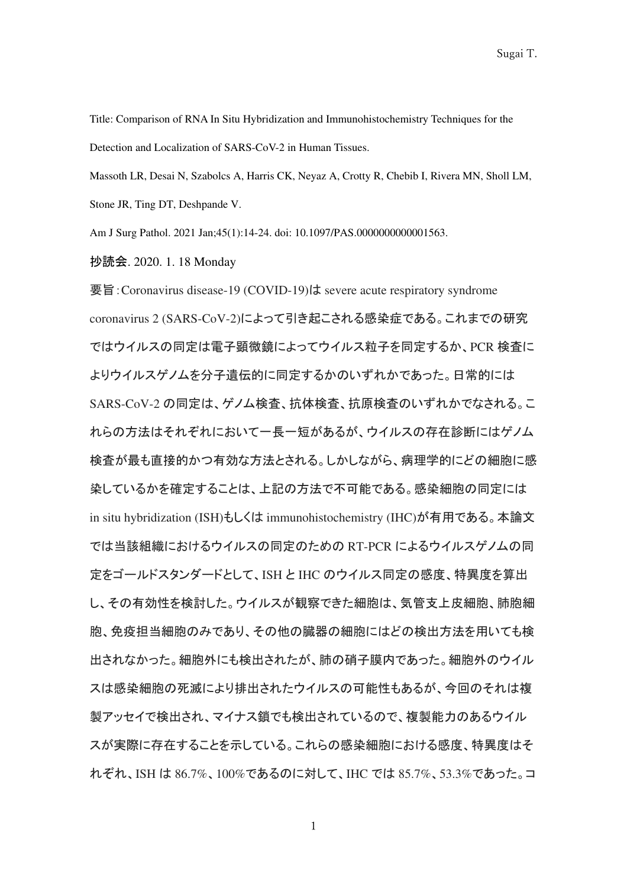Title: Comparison of RNA In Situ Hybridization and Immunohistochemistry Techniques for the Detection and Localization of SARS-CoV-2 in Human Tissues.

Massoth LR, Desai N, Szabolcs A, Harris CK, Neyaz A, Crotty R, Chebib I, Rivera MN, Sholl LM, Stone JR, Ting DT, Deshpande V.

Am J Surg Pathol. 2021 Jan;45(1):14-24. doi: 10.1097/PAS.0000000000001563.

抄読会. 2020. 1. 18 Monday

要旨:Coronavirus disease-19 (COVID-19)は severe acute respiratory syndrome coronavirus 2 (SARS-CoV-2)によって引き起こされる感染症である。これまでの研究 ではウイルスの同定は電子顕微鏡によってウイルス粒子を同定するか、PCR 検査に よりウイルスゲノムを分子遺伝的に同定するかのいずれかであった。日常的には SARS-CoV-2 の同定は、ゲノム検査、抗体検査、抗原検査のいずれかでなされる。こ れらの方法はそれぞれにおいて一長一短があるが、ウイルスの存在診断にはゲノム 検査が最も直接的かつ有効な方法とされる。しかしながら、病理学的にどの細胞に感 染しているかを確定することは、上記の方法で不可能である。感染細胞の同定には in situ hybridization (ISH)もしくは immunohistochemistry (IHC)が有用である。本論文 では当該組織におけるウイルスの同定のための RT-PCR によるウイルスゲノムの同 定をゴールドスタンダードとして、ISH と IHC のウイルス同定の感度、特異度を算出 し、その有効性を検討した。ウイルスが観察できた細胞は、気管支上皮細胞、肺胞細 胞、免疫担当細胞のみであり、その他の臓器の細胞にはどの検出方法を用いても検 出されなかった。細胞外にも検出されたが、肺の硝子膜内であった。細胞外のウイル スは感染細胞の死滅により排出されたウイルスの可能性もあるが、今回のそれは複 製アッセイで検出され、マイナス鎖でも検出されているので、複製能力のあるウイル スが実際に存在することを示している。これらの感染細胞における感度、特異度はそ れぞれ、ISH は 86.7%、100%であるのに対して、IHC では 85.7%、53.3%であった。コ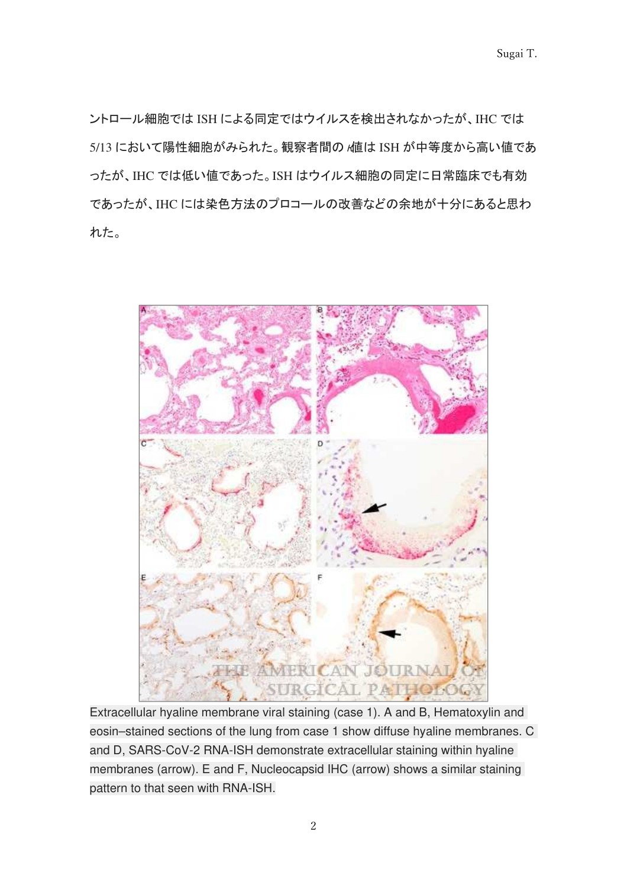ントロール細胞では ISH による同定ではウイルスを検出されなかったが、IHC では 5/13 において陽性細胞がみられた。観察者間の /値は ISH が中等度から高い値であ ったが、IHC では低い値であった。ISH はウイルス細胞の同定に日常臨床でも有効 であったが、IHC には染色方法のプロコールの改善などの余地が十分にあると思わ れた。



Extracellular hyaline membrane viral staining (case 1). A and B, Hematoxylin and eosin–stained sections of the lung from case 1 show diffuse hyaline membranes. C and D, SARS-CoV-2 RNA-ISH demonstrate extracellular staining within hyaline membranes (arrow). E and F, Nucleocapsid IHC (arrow) shows a similar staining pattern to that seen with RNA-ISH.